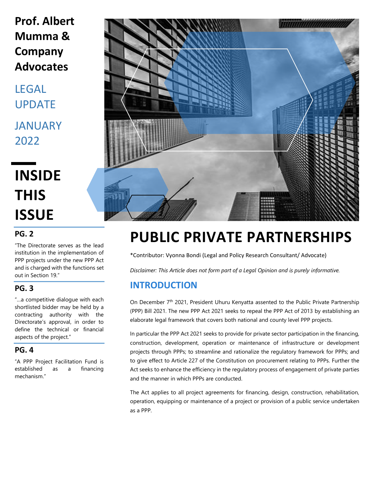# **Prof. Albert Mumma & Company Advocates**

LEGAL UPDATE JANUARY 2022

**INSIDE THIS ISSUE**

#### **PG. 2**

"The Directorate serves as the lead institution in the implementation of PPP projects under the new PPP Act and is charged with the functions set out in Section 19."

### **PG. 3**

"…a competitive dialogue with each shortlisted bidder may be held by a contracting authority with the Directorate's approval, in order to define the technical or financial aspects of the project."

#### **PG. 4**

"A PPP Project Facilitation Fund is established as a financing mechanism."



# **PUBLIC PRIVATE PARTNERSHIPS**

\*Contributor: Vyonna Bondi (Legal and Policy Research Consultant/ Advocate)

*Disclaimer: This Article does not form part of a Legal Opinion and is purely informative.*

## **INTRODUCTION**

On December 7<sup>th</sup> 2021, President Uhuru Kenyatta assented to the Public Private Partnership (PPP) Bill 2021. The new PPP Act 2021 seeks to repeal the PPP Act of 2013 by establishing an elaborate legal framework that covers both national and county level PPP projects.

In particular the PPP Act 2021 seeks to provide for private sector participation in the financing, construction, development, operation or maintenance of infrastructure or development projects through PPPs; to streamline and rationalize the regulatory framework for PPPs; and to give effect to Article 227 of the Constitution on procurement relating to PPPs. Further the Act seeks to enhance the efficiency in the regulatory process of engagement of private parties and the manner in which PPPs are conducted.

The Act applies to all project agreements for financing, design, construction, rehabilitation, operation, equipping or maintenance of a project or provision of a public service undertaken as a PPP.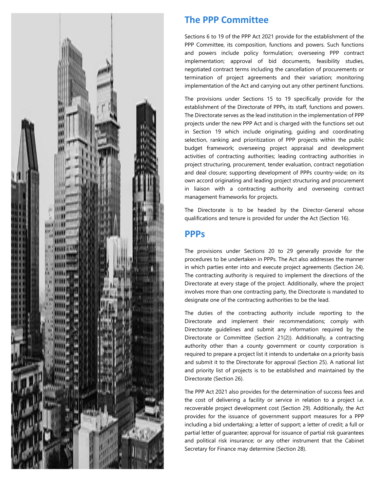

## **The PPP Committee**

Sections 6 to 19 of the PPP Act 2021 provide for the establishment of the PPP Committee, its composition, functions and powers. Such functions and powers include policy formulation; overseeing PPP contract implementation; approval of bid documents, feasibility studies, negotiated contract terms including the cancellation of procurements or termination of project agreements and their variation; monitoring implementation of the Act and carrying out any other pertinent functions.

The provisions under Sections 15 to 19 specifically provide for the establishment of the Directorate of PPPs, its staff, functions and powers. The Directorate serves as the lead institution in the implementation of PPP projects under the new PPP Act and is charged with the functions set out in Section 19 which include originating, guiding and coordinating selection, ranking and prioritization of PPP projects within the public budget framework; overseeing project appraisal and development activities of contracting authorities; leading contracting authorities in project structuring, procurement, tender evaluation, contract negotiation and deal closure; supporting development of PPPs country-wide; on its own accord originating and leading project structuring and procurement in liaison with a contracting authority and overseeing contract management frameworks for projects.

The Directorate is to be headed by the Director-General whose qualifications and tenure is provided for under the Act (Section 16).

#### **PPPs**

The provisions under Sections 20 to 29 generally provide for the procedures to be undertaken in PPPs. The Act also addresses the manner in which parties enter into and execute project agreements (Section 24). The contracting authority is required to implement the directions of the Directorate at every stage of the project. Additionally, where the project involves more than one contracting party, the Directorate is mandated to designate one of the contracting authorities to be the lead.

The duties of the contracting authority include reporting to the Directorate and implement their recommendations; comply with Directorate guidelines and submit any information required by the Directorate or Committee (Section 21(2)). Additionally, a contracting authority other than a county government or county corporation is required to prepare a project list it intends to undertake on a priority basis and submit it to the Directorate for approval (Section 25). A national list and priority list of projects is to be established and maintained by the Directorate (Section 26).

The PPP Act 2021 also provides for the determination of success fees and the cost of delivering a facility or service in relation to a project i.e. recoverable project development cost (Section 29). Additionally, the Act provides for the issuance of government support measures for a PPP including a bid undertaking; a letter of support; a letter of credit; a full or partial letter of guarantee; approval for issuance of partial risk guarantees and political risk insurance; or any other instrument that the Cabinet Secretary for Finance may determine (Section 28).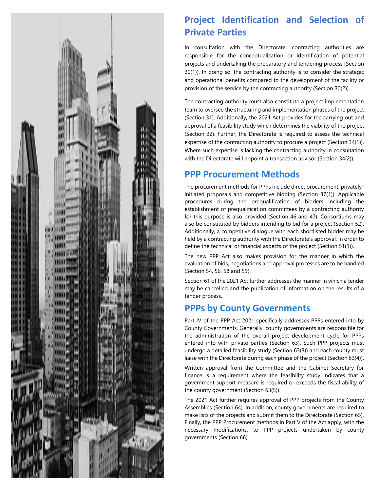

## **Project Identification and Selection of Private Parties**

In consultation with the Directorate, contracting authorities are responsible for the conceptualization or identification of potential projects and undertaking the preparatory and tendering process (Section 30(1)). In doing so, the contracting authority is to consider the strategic and operational benefits compared to the development of the facility or provision of the service by the contracting authority (Section 30(2)).

The contracting authority must also constitute a project implementation team to oversee the structuring and implementation phases of the project (Section 31). Additionally, the 2021 Act provides for the carrying out and approval of a feasibility study which determines the viability of the project (Section 32). Further, the Directorate is required to assess the technical expertise of the contracting authority to procure a project (Section 34(1)). Where such expertise is lacking the contracting authority in consultation with the Directorate will appoint a transaction advisor (Section 34(2)).

## **PPP Procurement Methods**

The procurement methods for PPPs include direct procurement, privatelyinitiated proposals and competitive bidding (Section 37(1)). Applicable procedures during the prequalification of bidders including the establishment of prequalification committees by a contracting authority for this purpose is also provided (Section 46 and 47). Consortiums may also be constituted by bidders intending to bid for a project (Section 52). Additionally, a competitive dialogue with each shortlisted bidder may be held by a contracting authority with the Directorate's approval, in order to define the technical or financial aspects of the project (Section 51(1)).

The new PPP Act also makes provision for the manner in which the evaluation of bids, negotiations and approval processes are to be handled (Section 54, 56, 58 and 59).

Section 61 of the 2021 Act further addresses the manner in which a tender may be cancelled and the publication of information on the results of a tender process.

## **PPPs by County Governments**

Part IV of the PPP Act 2021 specifically addresses PPPs entered into by County Governments. Generally, county governments are responsible for the administration of the overall project development cycle for PPPs entered into with private parties (Section 63). Such PPP projects must undergo a detailed feasibility study (Section 63(3)) and each county must liaise with the Directorate during each phase of the project (Section 63(4)).

Written approval from the Committee and the Cabinet Secretary for finance is a requirement where the feasibility study indicates that a government support measure is required or exceeds the fiscal ability of the county government (Section 63(5)).

The 2021 Act further requires approval of PPP projects from the County Assemblies (Section 64). In addition, county governments are required to make lists of the projects and submit them to the Directorate (Section 65). Finally, the PPP Procurement methods in Part V of the Act apply, with the necessary modifications, to PPP projects undertaken by county governments (Section 66).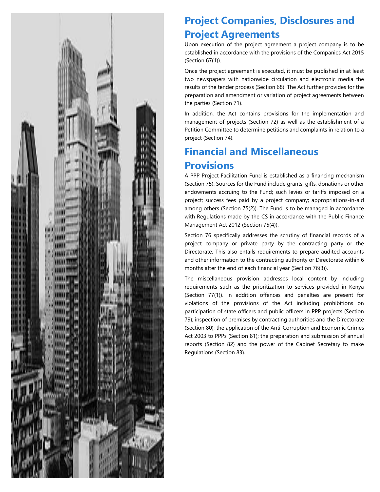

# **Project Companies, Disclosures and Project Agreements**

Upon execution of the project agreement a project company is to be established in accordance with the provisions of the Companies Act 2015 (Section 67(1)).

Once the project agreement is executed, it must be published in at least two newspapers with nationwide circulation and electronic media the results of the tender process (Section 68). The Act further provides for the preparation and amendment or variation of project agreements between the parties (Section 71).

In addition, the Act contains provisions for the implementation and management of projects (Section 72) as well as the establishment of a Petition Committee to determine petitions and complaints in relation to a project (Section 74).

# **Financial and Miscellaneous Provisions**

A PPP Project Facilitation Fund is established as a financing mechanism (Section 75). Sources for the Fund include grants, gifts, donations or other endowments accruing to the Fund; such levies or tariffs imposed on a project; success fees paid by a project company; appropriations-in-aid among others (Section 75(2)). The Fund is to be managed in accordance with Regulations made by the CS in accordance with the Public Finance Management Act 2012 (Section 75(4)).

Section 76 specifically addresses the scrutiny of financial records of a project company or private party by the contracting party or the Directorate. This also entails requirements to prepare audited accounts and other information to the contracting authority or Directorate within 6 months after the end of each financial year (Section 76(3)).

The miscellaneous provision addresses local content by including requirements such as the prioritization to services provided in Kenya (Section 77(1)). In addition offences and penalties are present for violations of the provisions of the Act including prohibitions on participation of state officers and public officers in PPP projects (Section 79); inspection of premises by contracting authorities and the Directorate (Section 80); the application of the Anti-Corruption and Economic Crimes Act 2003 to PPPs (Section 81); the preparation and submission of annual reports (Section 82) and the power of the Cabinet Secretary to make Regulations (Section 83).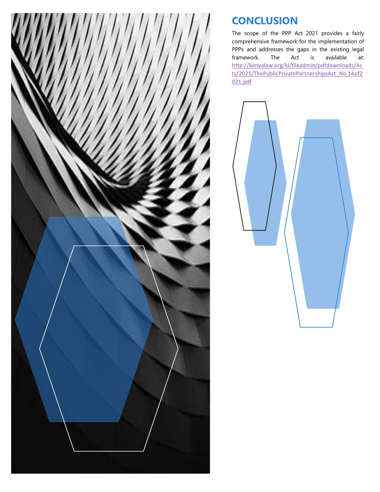

# **CONCLUSION**

The scope of the PPP Act 2021 provides a fairly comprehensive framework for the implementation of PPPs and addresses the gaps in the existing legal framework. The Act is available at: [http://kenyalaw.org/kl/fileadmin/pdfdownloads/Ac](http://kenyalaw.org/kl/fileadmin/pdfdownloads/Acts/2021/ThePublicPrivatePartnershipsAct_No.14of2021.pdf) [ts/2021/ThePublicPrivatePartnershipsAct\\_No.14of2](http://kenyalaw.org/kl/fileadmin/pdfdownloads/Acts/2021/ThePublicPrivatePartnershipsAct_No.14of2021.pdf) [021.pdf](http://kenyalaw.org/kl/fileadmin/pdfdownloads/Acts/2021/ThePublicPrivatePartnershipsAct_No.14of2021.pdf)

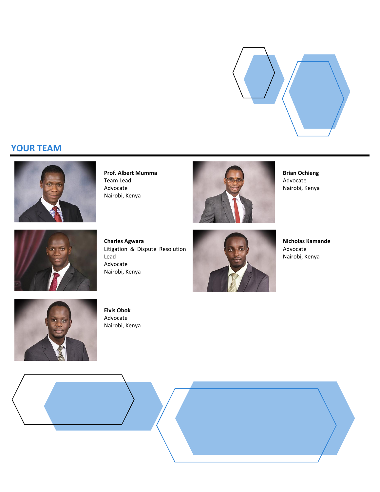

### **YOUR TEAM**



**Prof. Albert Mumma** Team Lead Advocate Nairobi, Kenya



**Brian Ochieng** Advocate Nairobi, Kenya



**Charles Agwara** Litigation & Dispute Resolution Lead Advocate Nairobi, Kenya



**Nicholas Kamande** Advocate Nairobi, Kenya



**Elvis Obok** Advocate Nairobi, Kenya